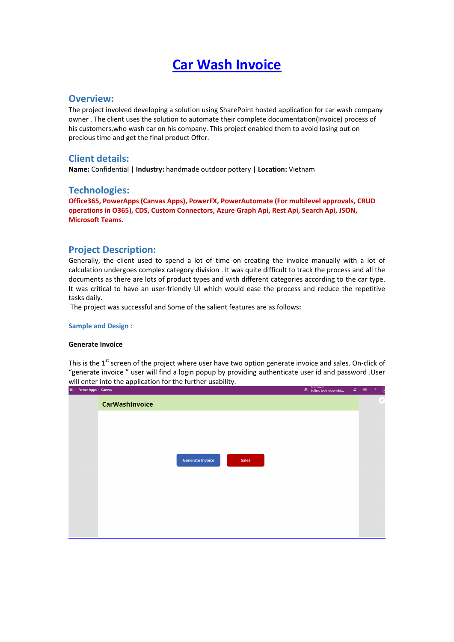# **Car Wash Invoice**

## **Overview:**

The project involved developing a solution using SharePoint hosted application for car wash company owner . The client uses the solution to automate their complete documentation(Invoice) process of his customers,who wash car on his company. This project enabled them to avoid losing out on precious time and get the final product Offer.

## **Client details:**

**Name:** Confidential | **Industry:** handmade outdoor pottery | **Location:** Vietnam

### **Technologies:**

**Office365, PowerApps (Canvas Apps), PowerFX, PowerAutomate (For multilevel approvals, CRUD operations in O365), CDS, Custom Connectors, Azure Graph Api, Rest Api, Search Api, JSON, Microsoft Teams.**

## **Project Description:**

Generally, the client used to spend a lot of time on creating the invoice manually with a lot of calculation undergoes complex category division . It was quite difficult to track the process and all the documents as there are lots of product types and with different categories according to the car type. It was critical to have an user-friendly UI which would ease the process and reduce the repetitive tasks daily.

The project was successful and Some of the salient features are as follows**:**

#### **Sample and Design :**

#### **Generate Invoice**

This is the 1<sup>st</sup> screen of the project where user have two option generate invoice and sales. On-click of "generate invoice " user will find a login popup by providing authenticate user id and password .User will enter into the application for the further usability.

| in course when I cannot |                                         | sortree technology (def | and the state of the state of the state of the | ╰                       |  |
|-------------------------|-----------------------------------------|-------------------------|------------------------------------------------|-------------------------|--|
|                         | <b>CarWashInvoice</b>                   |                         |                                                | $\overline{\mathbf{x}}$ |  |
|                         |                                         |                         |                                                |                         |  |
|                         |                                         |                         |                                                |                         |  |
|                         | <b>Generate Invoice</b><br><b>Sales</b> |                         |                                                |                         |  |
|                         |                                         |                         |                                                |                         |  |
|                         |                                         |                         |                                                |                         |  |
|                         |                                         |                         |                                                |                         |  |
|                         |                                         |                         |                                                |                         |  |
|                         |                                         |                         |                                                |                         |  |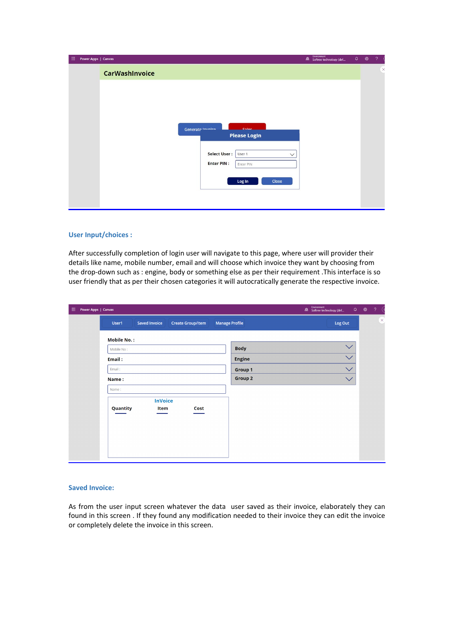| 曲<br>Power Apps   Canvas |                       |                                               | Environment<br>Softree technology (def | $\Omega$ | ⊛ | ?        |
|--------------------------|-----------------------|-----------------------------------------------|----------------------------------------|----------|---|----------|
|                          | <b>CarWashInvoice</b> |                                               |                                        |          |   | $\times$ |
|                          |                       |                                               |                                        |          |   |          |
|                          |                       |                                               |                                        |          |   |          |
|                          | Generate Invoice      | Color                                         |                                        |          |   |          |
|                          |                       | <b>Please Login</b>                           |                                        |          |   |          |
|                          |                       | <b>Select User:</b><br>User 1<br>$\checkmark$ |                                        |          |   |          |
|                          |                       | <b>Enter PIN:</b><br>Enter PIN                |                                        |          |   |          |
|                          |                       | Log In<br>Close                               |                                        |          |   |          |
|                          |                       |                                               |                                        |          |   |          |

#### **User Input/choices :**

After successfully completion of login user will navigate to this page, where user will provider their details like name, mobile number, email and will choose which invoice they want by choosing from the drop-down such as : engine, body or something else as per their requirement .This interface is so user friendly that as per their chosen categories it will autocratically generate the respective invoice.

| 曲<br>Power Apps   Canvas |                    |                        |                          |                       | Environment<br><b>A</b> Softree technology (def | $\begin{picture}(20,20) \put(0,0){\line(1,0){10}} \put(15,0){\line(1,0){10}} \put(15,0){\line(1,0){10}} \put(15,0){\line(1,0){10}} \put(15,0){\line(1,0){10}} \put(15,0){\line(1,0){10}} \put(15,0){\line(1,0){10}} \put(15,0){\line(1,0){10}} \put(15,0){\line(1,0){10}} \put(15,0){\line(1,0){10}} \put(15,0){\line(1,0){10}} \put(15,0){\line(1$ | $\sqrt{2}$<br>$\left( s \right)$ |
|--------------------------|--------------------|------------------------|--------------------------|-----------------------|-------------------------------------------------|-----------------------------------------------------------------------------------------------------------------------------------------------------------------------------------------------------------------------------------------------------------------------------------------------------------------------------------------------------|----------------------------------|
|                          | User1              | <b>Saved Invoice</b>   | <b>Create Group/Item</b> | <b>Manage Profile</b> | Log Out                                         |                                                                                                                                                                                                                                                                                                                                                     | $\overline{\mathbf{x}}$          |
|                          | <b>Mobile No.:</b> |                        |                          |                       |                                                 |                                                                                                                                                                                                                                                                                                                                                     |                                  |
|                          | Mobile No:         |                        |                          | <b>Body</b>           | $\checkmark$                                    |                                                                                                                                                                                                                                                                                                                                                     |                                  |
|                          | Email:             |                        |                          | <b>Engine</b>         | $\checkmark$                                    |                                                                                                                                                                                                                                                                                                                                                     |                                  |
|                          | Email:             |                        |                          | Group 1               | $\checkmark$                                    |                                                                                                                                                                                                                                                                                                                                                     |                                  |
|                          | Name:              |                        |                          | Group 2               | $\checkmark$                                    |                                                                                                                                                                                                                                                                                                                                                     |                                  |
|                          | Name:              |                        |                          |                       |                                                 |                                                                                                                                                                                                                                                                                                                                                     |                                  |
|                          | Quantity           | <b>InVoice</b><br>Item | Cost                     |                       |                                                 |                                                                                                                                                                                                                                                                                                                                                     |                                  |

#### **Saved Invoice:**

As from the user input screen whatever the data user saved as their invoice, elaborately they can found in this screen . If they found any modification needed to their invoice they can edit the invoice or completely delete the invoice in this screen.